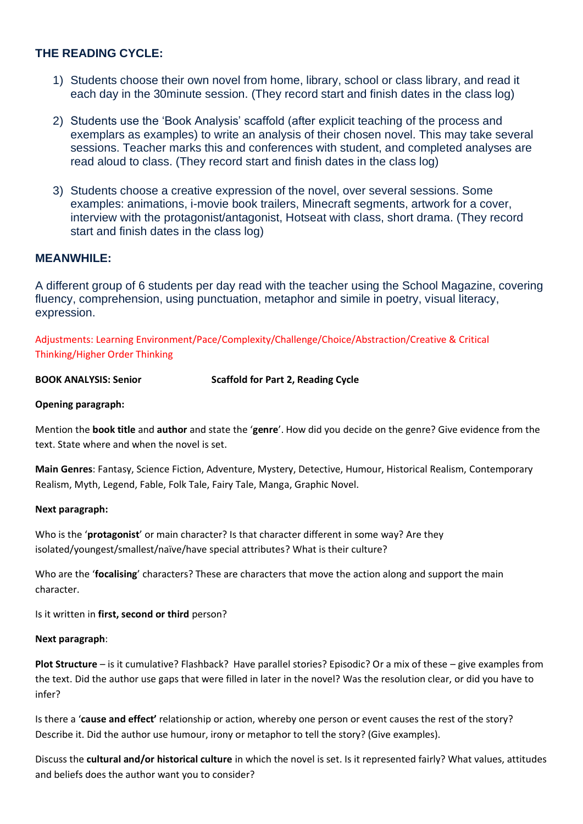# **THE READING CYCLE:**

- 1) Students choose their own novel from home, library, school or class library, and read it each day in the 30minute session. (They record start and finish dates in the class log)
- 2) Students use the 'Book Analysis' scaffold (after explicit teaching of the process and exemplars as examples) to write an analysis of their chosen novel. This may take several sessions. Teacher marks this and conferences with student, and completed analyses are read aloud to class. (They record start and finish dates in the class log)
- 3) Students choose a creative expression of the novel, over several sessions. Some examples: animations, i-movie book trailers, Minecraft segments, artwork for a cover, interview with the protagonist/antagonist, Hotseat with class, short drama. (They record start and finish dates in the class log)

# **MEANWHILE:**

A different group of 6 students per day read with the teacher using the School Magazine, covering fluency, comprehension, using punctuation, metaphor and simile in poetry, visual literacy, expression.

Adjustments: Learning Environment/Pace/Complexity/Challenge/Choice/Abstraction/Creative & Critical Thinking/Higher Order Thinking

**BOOK ANALYSIS: Senior Scaffold for Part 2, Reading Cycle**

## **Opening paragraph:**

Mention the **book title** and **author** and state the '**genre**'. How did you decide on the genre? Give evidence from the text. State where and when the novel is set.

**Main Genres**: Fantasy, Science Fiction, Adventure, Mystery, Detective, Humour, Historical Realism, Contemporary Realism, Myth, Legend, Fable, Folk Tale, Fairy Tale, Manga, Graphic Novel.

#### **Next paragraph:**

Who is the '**protagonist**' or main character? Is that character different in some way? Are they isolated/youngest/smallest/naïve/have special attributes? What is their culture?

Who are the '**focalising**' characters? These are characters that move the action along and support the main character.

Is it written in **first, second or third** person?

#### **Next paragraph**:

**Plot Structure** – is it cumulative? Flashback? Have parallel stories? Episodic? Or a mix of these – give examples from the text. Did the author use gaps that were filled in later in the novel? Was the resolution clear, or did you have to infer?

Is there a '**cause and effect'** relationship or action, whereby one person or event causes the rest of the story? Describe it. Did the author use humour, irony or metaphor to tell the story? (Give examples).

Discuss the **cultural and/or historical culture** in which the novel is set. Is it represented fairly? What values, attitudes and beliefs does the author want you to consider?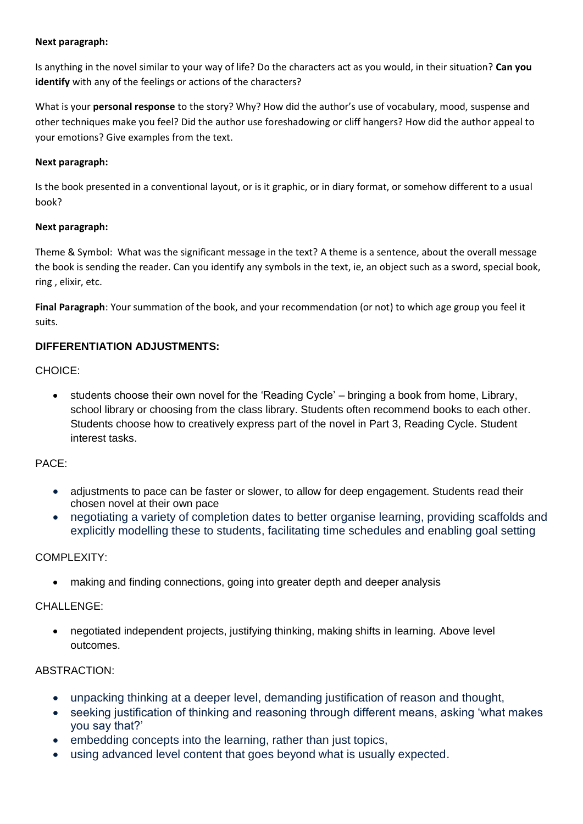## **Next paragraph:**

Is anything in the novel similar to your way of life? Do the characters act as you would, in their situation? **Can you identify** with any of the feelings or actions of the characters?

What is your **personal response** to the story? Why? How did the author's use of vocabulary, mood, suspense and other techniques make you feel? Did the author use foreshadowing or cliff hangers? How did the author appeal to your emotions? Give examples from the text.

# **Next paragraph:**

Is the book presented in a conventional layout, or is it graphic, or in diary format, or somehow different to a usual book?

## **Next paragraph:**

Theme & Symbol: What was the significant message in the text? A theme is a sentence, about the overall message the book is sending the reader. Can you identify any symbols in the text, ie, an object such as a sword, special book, ring , elixir, etc.

**Final Paragraph**: Your summation of the book, and your recommendation (or not) to which age group you feel it suits.

# **DIFFERENTIATION ADJUSTMENTS:**

CHOICE:

• students choose their own novel for the 'Reading Cycle' – bringing a book from home, Library, school library or choosing from the class library. Students often recommend books to each other. Students choose how to creatively express part of the novel in Part 3, Reading Cycle. Student interest tasks.

# PACE:

- adjustments to pace can be faster or slower, to allow for deep engagement. Students read their chosen novel at their own pace
- negotiating a variety of completion dates to better organise learning, providing scaffolds and explicitly modelling these to students, facilitating time schedules and enabling goal setting

# COMPLEXITY:

• making and finding connections, going into greater depth and deeper analysis

# CHALLENGE:

• negotiated independent projects, justifying thinking, making shifts in learning. Above level outcomes.

# ABSTRACTION:

- unpacking thinking at a deeper level, demanding justification of reason and thought,
- seeking justification of thinking and reasoning through different means, asking 'what makes you say that?'
- embedding concepts into the learning, rather than just topics,
- using advanced level content that goes beyond what is usually expected.